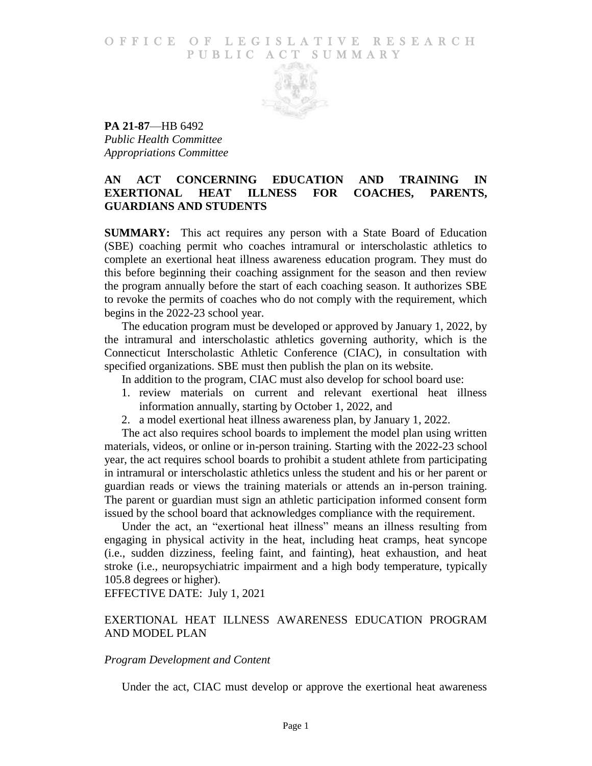#### O F F I C E O F L E G I S L A T I V E R E S E A R C H PUBLIC ACT SUMMARY



**PA 21-87**—HB 6492 *Public Health Committee Appropriations Committee*

# **AN ACT CONCERNING EDUCATION AND TRAINING IN EXERTIONAL HEAT ILLNESS FOR COACHES, PARENTS, GUARDIANS AND STUDENTS**

**SUMMARY:** This act requires any person with a State Board of Education (SBE) coaching permit who coaches intramural or interscholastic athletics to complete an exertional heat illness awareness education program. They must do this before beginning their coaching assignment for the season and then review the program annually before the start of each coaching season. It authorizes SBE to revoke the permits of coaches who do not comply with the requirement, which begins in the 2022-23 school year.

The education program must be developed or approved by January 1, 2022, by the intramural and interscholastic athletics governing authority, which is the Connecticut Interscholastic Athletic Conference (CIAC), in consultation with specified organizations. SBE must then publish the plan on its website.

In addition to the program, CIAC must also develop for school board use:

- 1. review materials on current and relevant exertional heat illness information annually, starting by October 1, 2022, and
- 2. a model exertional heat illness awareness plan, by January 1, 2022.

The act also requires school boards to implement the model plan using written materials, videos, or online or in-person training. Starting with the 2022-23 school year, the act requires school boards to prohibit a student athlete from participating in intramural or interscholastic athletics unless the student and his or her parent or guardian reads or views the training materials or attends an in-person training. The parent or guardian must sign an athletic participation informed consent form issued by the school board that acknowledges compliance with the requirement.

Under the act, an "exertional heat illness" means an illness resulting from engaging in physical activity in the heat, including heat cramps, heat syncope (i.e., sudden dizziness, feeling faint, and fainting), heat exhaustion, and heat stroke (i.e., neuropsychiatric impairment and a high body temperature, typically 105.8 degrees or higher).

EFFECTIVE DATE: July 1, 2021

# EXERTIONAL HEAT ILLNESS AWARENESS EDUCATION PROGRAM AND MODEL PLAN

#### *Program Development and Content*

Under the act, CIAC must develop or approve the exertional heat awareness